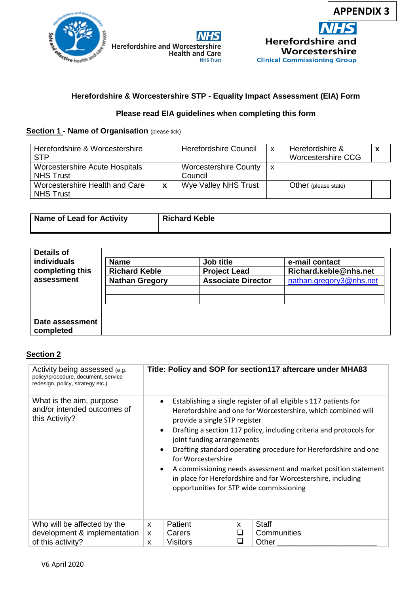

## **Herefordshire & Worcestershire STP - Equality Impact Assessment (EIA) Form**

### **Please read EIA guidelines when completing this form**

#### **Section 1 - Name of Organisation** (please tick)

| Herefordshire & Worcestershire<br><b>STP</b>              |   | <b>Herefordshire Council</b>            | $\mathsf{x}$ | Herefordshire &<br>Worcestershire CCG |  |
|-----------------------------------------------------------|---|-----------------------------------------|--------------|---------------------------------------|--|
| <b>Worcestershire Acute Hospitals</b><br><b>NHS Trust</b> |   | <b>Worcestershire County</b><br>Council | x            |                                       |  |
| Worcestershire Health and Care<br><b>NHS Trust</b>        | X | Wye Valley NHS Trust                    |              | Other (please state)                  |  |

| Name of Lead for Activity | <b>Richard Keble</b> |
|---------------------------|----------------------|
|                           |                      |

| <b>individuals</b><br>completing this | <b>Name</b><br><b>Richard Keble</b> | Job title<br><b>Project Lead</b> | e-mail contact<br>Richard.keble@nhs.net |  |
|---------------------------------------|-------------------------------------|----------------------------------|-----------------------------------------|--|
| assessment                            | <b>Nathan Gregory</b>               | <b>Associate Director</b>        | nathan.gregory3@nhs.net                 |  |
|                                       |                                     |                                  |                                         |  |
|                                       |                                     |                                  |                                         |  |
| Date assessment<br>completed          |                                     |                                  |                                         |  |

#### **Section 2**

| Activity being assessed (e.g.<br>policy/procedure, document, service<br>redesign, policy, strategy etc.) |                                                                                                                                       | Title: Policy and SOP for section117 aftercare under MHA83                                                                                                                                                                                                                                                                                                                                                                                                 |
|----------------------------------------------------------------------------------------------------------|---------------------------------------------------------------------------------------------------------------------------------------|------------------------------------------------------------------------------------------------------------------------------------------------------------------------------------------------------------------------------------------------------------------------------------------------------------------------------------------------------------------------------------------------------------------------------------------------------------|
| What is the aim, purpose<br>and/or intended outcomes of<br>this Activity?                                | $\bullet$<br>provide a single STP register<br>$\bullet$<br>joint funding arrangements<br>$\bullet$<br>for Worcestershire<br>$\bullet$ | Establishing a single register of all eligible s 117 patients for<br>Herefordshire and one for Worcestershire, which combined will<br>Drafting a section 117 policy, including criteria and protocols for<br>Drafting standard operating procedure for Herefordshire and one<br>A commissioning needs assessment and market position statement<br>in place for Herefordshire and for Worcestershire, including<br>opportunities for STP wide commissioning |
| Who will be affected by the<br>development & implementation<br>of this activity?                         | <b>Patient</b><br>$\mathsf{x}$<br>Carers<br>X<br><b>Visitors</b><br>X                                                                 | Staff<br>X<br>□<br>Communities<br>□<br>Other                                                                                                                                                                                                                                                                                                                                                                                                               |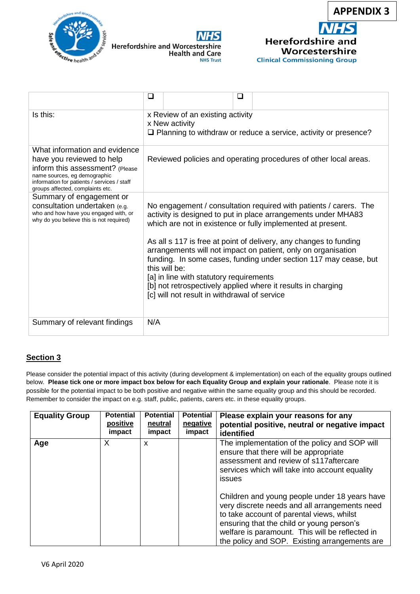





|                                                                                                                                                                                                                  | □<br>$\mathcal{L}_{\mathcal{A}}$                                                                                                                                                                                                                                                                                                                                                                                                                                                                                                                                                        |  |  |  |  |  |
|------------------------------------------------------------------------------------------------------------------------------------------------------------------------------------------------------------------|-----------------------------------------------------------------------------------------------------------------------------------------------------------------------------------------------------------------------------------------------------------------------------------------------------------------------------------------------------------------------------------------------------------------------------------------------------------------------------------------------------------------------------------------------------------------------------------------|--|--|--|--|--|
| Is this:                                                                                                                                                                                                         | x Review of an existing activity<br>x New activity<br>$\Box$ Planning to withdraw or reduce a service, activity or presence?                                                                                                                                                                                                                                                                                                                                                                                                                                                            |  |  |  |  |  |
| What information and evidence<br>have you reviewed to help<br>inform this assessment? (Please<br>name sources, eg demographic<br>information for patients / services / staff<br>groups affected, complaints etc. | Reviewed policies and operating procedures of other local areas.                                                                                                                                                                                                                                                                                                                                                                                                                                                                                                                        |  |  |  |  |  |
| Summary of engagement or<br>consultation undertaken (e.g.<br>who and how have you engaged with, or<br>why do you believe this is not required)                                                                   | No engagement / consultation required with patients / carers. The<br>activity is designed to put in place arrangements under MHA83<br>which are not in existence or fully implemented at present.<br>As all s 117 is free at point of delivery, any changes to funding<br>arrangements will not impact on patient, only on organisation<br>funding. In some cases, funding under section 117 may cease, but<br>this will be:<br>[a] in line with statutory requirements<br>[b] not retrospectively applied where it results in charging<br>[c] will not result in withdrawal of service |  |  |  |  |  |
| Summary of relevant findings                                                                                                                                                                                     | N/A                                                                                                                                                                                                                                                                                                                                                                                                                                                                                                                                                                                     |  |  |  |  |  |

## **Section 3**

Please consider the potential impact of this activity (during development & implementation) on each of the equality groups outlined below. **Please tick one or more impact box below for each Equality Group and explain your rationale**. Please note it is possible for the potential impact to be both positive and negative within the same equality group and this should be recorded. Remember to consider the impact on e.g. staff, public, patients, carers etc. in these equality groups.

| <b>Equality Group</b> | <b>Potential</b><br>positive<br>impact | <b>Potential</b><br>neutral<br>impact | <b>Potential</b><br>negative<br>impact | Please explain your reasons for any<br>potential positive, neutral or negative impact<br>identified                                                                                                                                                                                          |
|-----------------------|----------------------------------------|---------------------------------------|----------------------------------------|----------------------------------------------------------------------------------------------------------------------------------------------------------------------------------------------------------------------------------------------------------------------------------------------|
| Age                   | X                                      | x                                     |                                        | The implementation of the policy and SOP will<br>ensure that there will be appropriate<br>assessment and review of s117aftercare<br>services which will take into account equality<br>issues                                                                                                 |
|                       |                                        |                                       |                                        | Children and young people under 18 years have<br>very discrete needs and all arrangements need<br>to take account of parental views, whilst<br>ensuring that the child or young person's<br>welfare is paramount. This will be reflected in<br>the policy and SOP. Existing arrangements are |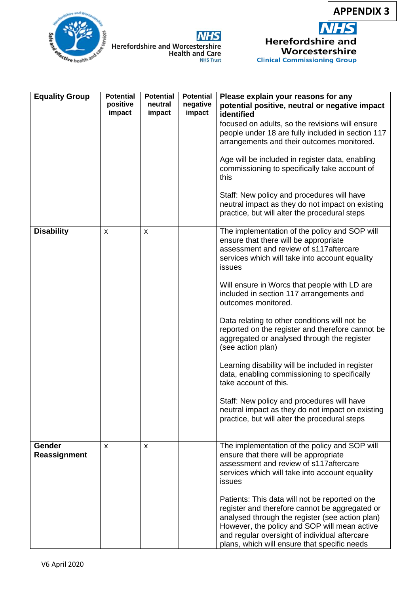

Worcestershire **Clinical Commissioning Group** 



| <b>NHS</b>                                                        |
|-------------------------------------------------------------------|
| <b>Herefordshire and Worcestershire</b><br><b>Health and Care</b> |
| <b>NHS Trust</b>                                                  |

| <b>Equality Group</b>  | <b>Potential</b><br>positive | <b>Potential</b><br>neutral | <b>Potential</b><br>negative | Please explain your reasons for any<br>potential positive, neutral or negative impact                                                                                                                                                                                                                 |
|------------------------|------------------------------|-----------------------------|------------------------------|-------------------------------------------------------------------------------------------------------------------------------------------------------------------------------------------------------------------------------------------------------------------------------------------------------|
|                        | impact                       | impact                      | impact                       | identified                                                                                                                                                                                                                                                                                            |
|                        |                              |                             |                              | focused on adults, so the revisions will ensure<br>people under 18 are fully included in section 117<br>arrangements and their outcomes monitored.                                                                                                                                                    |
|                        |                              |                             |                              | Age will be included in register data, enabling<br>commissioning to specifically take account of<br>this                                                                                                                                                                                              |
|                        |                              |                             |                              | Staff: New policy and procedures will have<br>neutral impact as they do not impact on existing<br>practice, but will alter the procedural steps                                                                                                                                                       |
| <b>Disability</b>      | X                            | X                           |                              | The implementation of the policy and SOP will<br>ensure that there will be appropriate<br>assessment and review of s117aftercare<br>services which will take into account equality<br>issues                                                                                                          |
|                        |                              |                             |                              | Will ensure in Worcs that people with LD are<br>included in section 117 arrangements and<br>outcomes monitored.                                                                                                                                                                                       |
|                        |                              |                             |                              | Data relating to other conditions will not be<br>reported on the register and therefore cannot be<br>aggregated or analysed through the register<br>(see action plan)                                                                                                                                 |
|                        |                              |                             |                              | Learning disability will be included in register<br>data, enabling commissioning to specifically<br>take account of this.                                                                                                                                                                             |
|                        |                              |                             |                              | Staff: New policy and procedures will have<br>neutral impact as they do not impact on existing<br>practice, but will alter the procedural steps                                                                                                                                                       |
| Gender<br>Reassignment | X                            | X                           |                              | The implementation of the policy and SOP will<br>ensure that there will be appropriate<br>assessment and review of s117aftercare<br>services which will take into account equality<br>issues                                                                                                          |
|                        |                              |                             |                              | Patients: This data will not be reported on the<br>register and therefore cannot be aggregated or<br>analysed through the register (see action plan)<br>However, the policy and SOP will mean active<br>and regular oversight of individual aftercare<br>plans, which will ensure that specific needs |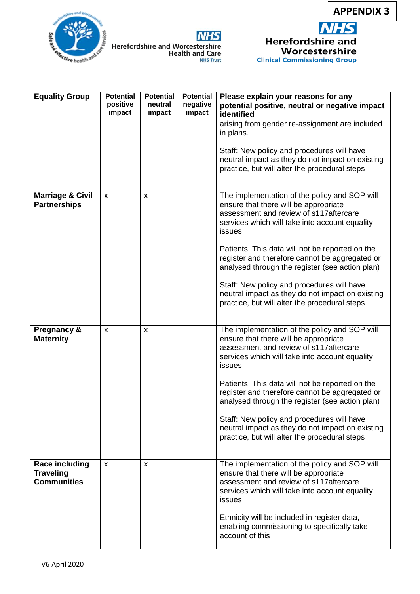

Worcestershire

**Clinical Commissioning Group** 





| <b>Equality Group</b>                                           | <b>Potential</b><br>positive<br>impact | <b>Potential</b><br>neutral<br>impact | <b>Potential</b><br>negative<br>impact | Please explain your reasons for any<br>potential positive, neutral or negative impact<br>identified                                                                                                                                                                                               |
|-----------------------------------------------------------------|----------------------------------------|---------------------------------------|----------------------------------------|---------------------------------------------------------------------------------------------------------------------------------------------------------------------------------------------------------------------------------------------------------------------------------------------------|
|                                                                 |                                        |                                       |                                        | arising from gender re-assignment are included<br>in plans.                                                                                                                                                                                                                                       |
|                                                                 |                                        |                                       |                                        | Staff: New policy and procedures will have<br>neutral impact as they do not impact on existing<br>practice, but will alter the procedural steps                                                                                                                                                   |
| <b>Marriage &amp; Civil</b><br><b>Partnerships</b>              | X                                      | X                                     |                                        | The implementation of the policy and SOP will<br>ensure that there will be appropriate<br>assessment and review of s117aftercare<br>services which will take into account equality<br>issues<br>Patients: This data will not be reported on the<br>register and therefore cannot be aggregated or |
|                                                                 |                                        |                                       |                                        | analysed through the register (see action plan)<br>Staff: New policy and procedures will have<br>neutral impact as they do not impact on existing<br>practice, but will alter the procedural steps                                                                                                |
| <b>Pregnancy &amp;</b><br><b>Maternity</b>                      | X                                      | X                                     |                                        | The implementation of the policy and SOP will<br>ensure that there will be appropriate<br>assessment and review of s117 aftercare<br>services which will take into account equality<br>issues                                                                                                     |
|                                                                 |                                        |                                       |                                        | Patients: This data will not be reported on the<br>register and therefore cannot be aggregated or<br>analysed through the register (see action plan)                                                                                                                                              |
|                                                                 |                                        |                                       |                                        | Staff: New policy and procedures will have<br>neutral impact as they do not impact on existing<br>practice, but will alter the procedural steps                                                                                                                                                   |
| <b>Race including</b><br><b>Traveling</b><br><b>Communities</b> | $\mathsf{x}$                           | X                                     |                                        | The implementation of the policy and SOP will<br>ensure that there will be appropriate<br>assessment and review of s117aftercare<br>services which will take into account equality<br>issues                                                                                                      |
|                                                                 |                                        |                                       |                                        | Ethnicity will be included in register data,<br>enabling commissioning to specifically take<br>account of this                                                                                                                                                                                    |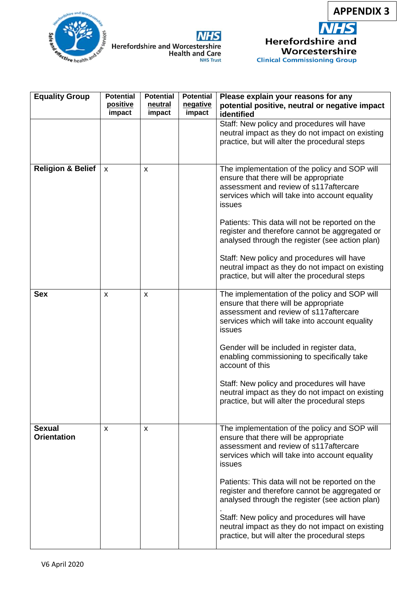

**Clinical Commissioning Group** 

**Trective health and** 



| <b>Equality Group</b>               | <b>Potential</b><br>positive<br>impact | <b>Potential</b><br>neutral<br>impact | <b>Potential</b><br>negative<br>impact | Please explain your reasons for any<br>potential positive, neutral or negative impact<br>identified                                                                                          |
|-------------------------------------|----------------------------------------|---------------------------------------|----------------------------------------|----------------------------------------------------------------------------------------------------------------------------------------------------------------------------------------------|
|                                     |                                        |                                       |                                        | Staff: New policy and procedures will have<br>neutral impact as they do not impact on existing<br>practice, but will alter the procedural steps                                              |
| <b>Religion &amp; Belief</b>        | X                                      | X                                     |                                        | The implementation of the policy and SOP will<br>ensure that there will be appropriate<br>assessment and review of s117aftercare<br>services which will take into account equality<br>issues |
|                                     |                                        |                                       |                                        | Patients: This data will not be reported on the<br>register and therefore cannot be aggregated or<br>analysed through the register (see action plan)                                         |
|                                     |                                        |                                       |                                        | Staff: New policy and procedures will have<br>neutral impact as they do not impact on existing<br>practice, but will alter the procedural steps                                              |
| <b>Sex</b>                          | X                                      | X                                     |                                        | The implementation of the policy and SOP will<br>ensure that there will be appropriate<br>assessment and review of s117aftercare<br>services which will take into account equality<br>issues |
|                                     |                                        |                                       |                                        | Gender will be included in register data,<br>enabling commissioning to specifically take<br>account of this                                                                                  |
|                                     |                                        |                                       |                                        | Staff: New policy and procedures will have<br>neutral impact as they do not impact on existing<br>practice, but will alter the procedural steps                                              |
| <b>Sexual</b><br><b>Orientation</b> | x                                      | X                                     |                                        | The implementation of the policy and SOP will<br>ensure that there will be appropriate<br>assessment and review of s117aftercare<br>services which will take into account equality<br>issues |
|                                     |                                        |                                       |                                        | Patients: This data will not be reported on the<br>register and therefore cannot be aggregated or<br>analysed through the register (see action plan)                                         |
|                                     |                                        |                                       |                                        | Staff: New policy and procedures will have<br>neutral impact as they do not impact on existing<br>practice, but will alter the procedural steps                                              |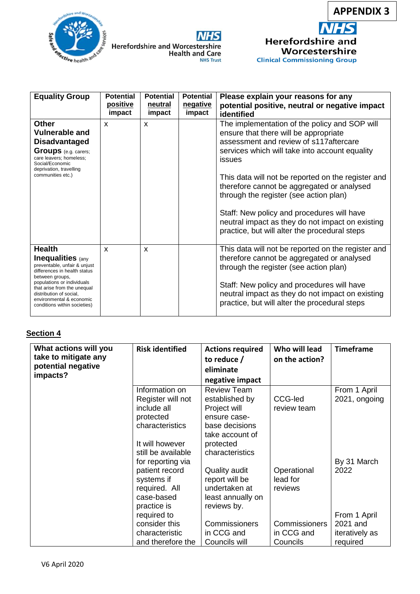





| <b>Equality Group</b>                                                                                                                                                                                                                                                            | <b>Potential</b><br>positive<br>impact | <b>Potential</b><br>neutral<br>impact | <b>Potential</b><br>negative<br>impact | Please explain your reasons for any<br>potential positive, neutral or negative impact<br>identified                                                                                                                                                                                                                                                                                                                                                                                            |
|----------------------------------------------------------------------------------------------------------------------------------------------------------------------------------------------------------------------------------------------------------------------------------|----------------------------------------|---------------------------------------|----------------------------------------|------------------------------------------------------------------------------------------------------------------------------------------------------------------------------------------------------------------------------------------------------------------------------------------------------------------------------------------------------------------------------------------------------------------------------------------------------------------------------------------------|
| <b>Other</b><br><b>Vulnerable and</b><br><b>Disadvantaged</b><br><b>Groups</b> (e.g. carers;<br>care leavers; homeless;<br>Social/Economic<br>deprivation, travelling<br>communities etc.)                                                                                       | X                                      | $\mathsf{x}$                          |                                        | The implementation of the policy and SOP will<br>ensure that there will be appropriate<br>assessment and review of s117 aftercare<br>services which will take into account equality<br>issues<br>This data will not be reported on the register and<br>therefore cannot be aggregated or analysed<br>through the register (see action plan)<br>Staff: New policy and procedures will have<br>neutral impact as they do not impact on existing<br>practice, but will alter the procedural steps |
| <b>Health</b><br><b>Inequalities</b> (any<br>preventable, unfair & unjust<br>differences in health status<br>between groups,<br>populations or individuals<br>that arise from the unequal<br>distribution of social,<br>environmental & economic<br>conditions within societies) | $\mathsf{x}$                           | $\boldsymbol{\mathsf{x}}$             |                                        | This data will not be reported on the register and<br>therefore cannot be aggregated or analysed<br>through the register (see action plan)<br>Staff: New policy and procedures will have<br>neutral impact as they do not impact on existing<br>practice, but will alter the procedural steps                                                                                                                                                                                                  |

## **Section 4**

| What actions will you<br>take to mitigate any<br>potential negative<br>impacts? | <b>Risk identified</b>                                                                                                                                                 | <b>Actions required</b><br>to reduce /<br>eliminate<br>negative impact                                                                    | Who will lead<br>on the action?                                                      | <b>Timeframe</b>                                                              |
|---------------------------------------------------------------------------------|------------------------------------------------------------------------------------------------------------------------------------------------------------------------|-------------------------------------------------------------------------------------------------------------------------------------------|--------------------------------------------------------------------------------------|-------------------------------------------------------------------------------|
|                                                                                 | Information on<br>Register will not<br>include all<br>protected<br>characteristics<br>It will however<br>still be available                                            | <b>Review Team</b><br>established by<br>Project will<br>ensure case-<br>base decisions<br>take account of<br>protected<br>characteristics | CCG-led<br>review team                                                               | From 1 April<br>2021, ongoing                                                 |
|                                                                                 | for reporting via<br>patient record<br>systems if<br>required. All<br>case-based<br>practice is<br>required to<br>consider this<br>characteristic<br>and therefore the | Quality audit<br>report will be<br>undertaken at<br>least annually on<br>reviews by.<br>Commissioners<br>in CCG and<br>Councils will      | Operational<br>lead for<br>reviews<br><b>Commissioners</b><br>in CCG and<br>Councils | By 31 March<br>2022<br>From 1 April<br>2021 and<br>iteratively as<br>required |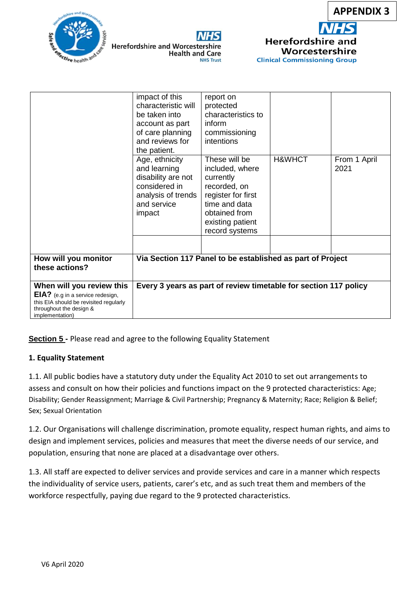







|                                                                                                                                                              | impact of this<br>characteristic will<br>be taken into<br>account as part<br>of care planning<br>and reviews for<br>the patient. | report on<br>protected<br>characteristics to<br>inform<br>commissioning<br>intentions                                                                       |                   |                      |
|--------------------------------------------------------------------------------------------------------------------------------------------------------------|----------------------------------------------------------------------------------------------------------------------------------|-------------------------------------------------------------------------------------------------------------------------------------------------------------|-------------------|----------------------|
|                                                                                                                                                              | Age, ethnicity<br>and learning<br>disability are not<br>considered in<br>analysis of trends<br>and service<br>impact             | These will be<br>included, where<br>currently<br>recorded, on<br>register for first<br>time and data<br>obtained from<br>existing patient<br>record systems | <b>H&amp;WHCT</b> | From 1 April<br>2021 |
| How will you monitor<br>these actions?                                                                                                                       | Via Section 117 Panel to be established as part of Project                                                                       |                                                                                                                                                             |                   |                      |
| When will you review this<br><b>EIA?</b> (e.g in a service redesign,<br>this EIA should be revisited regularly<br>throughout the design &<br>implementation) |                                                                                                                                  | Every 3 years as part of review timetable for section 117 policy                                                                                            |                   |                      |

**Section 5 -** Please read and agree to the following Equality Statement

### **1. Equality Statement**

1.1. All public bodies have a statutory duty under the Equality Act 2010 to set out arrangements to assess and consult on how their policies and functions impact on the 9 protected characteristics: Age; Disability; Gender Reassignment; Marriage & Civil Partnership; Pregnancy & Maternity; Race; Religion & Belief; Sex; Sexual Orientation

1.2. Our Organisations will challenge discrimination, promote equality, respect human rights, and aims to design and implement services, policies and measures that meet the diverse needs of our service, and population, ensuring that none are placed at a disadvantage over others.

1.3. All staff are expected to deliver services and provide services and care in a manner which respects the individuality of service users, patients, carer's etc, and as such treat them and members of the workforce respectfully, paying due regard to the 9 protected characteristics.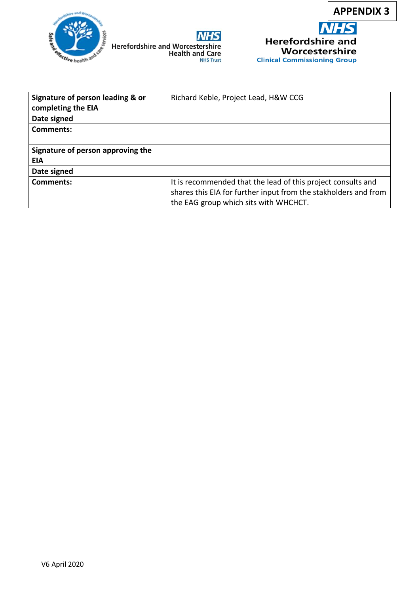





| Signature of person leading & or<br>completing the EIA | Richard Keble, Project Lead, H&W CCG                            |  |
|--------------------------------------------------------|-----------------------------------------------------------------|--|
| Date signed                                            |                                                                 |  |
| <b>Comments:</b>                                       |                                                                 |  |
|                                                        |                                                                 |  |
| Signature of person approving the                      |                                                                 |  |
| <b>EIA</b>                                             |                                                                 |  |
| Date signed                                            |                                                                 |  |
| Comments:                                              | It is recommended that the lead of this project consults and    |  |
|                                                        | shares this EIA for further input from the stakholders and from |  |
|                                                        | the EAG group which sits with WHCHCT.                           |  |